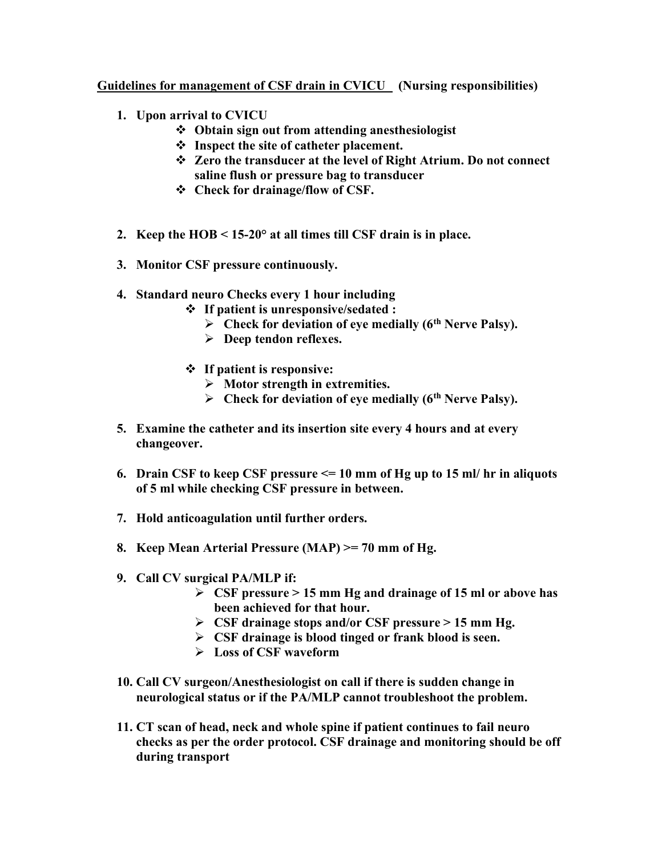## Guidelines for management of CSF drain in CVICU (Nursing responsibilities)

- 1. Upon arrival to CVICU
	- Obtain sign out from attending anesthesiologist
	- $\div$  Inspect the site of catheter placement.
	- Zero the transducer at the level of Right Atrium. Do not connect saline flush or pressure bag to transducer
	- Check for drainage/flow of CSF.
- 2. Keep the HOB < 15-20° at all times till CSF drain is in place.
- 3. Monitor CSF pressure continuously.
- 4. Standard neuro Checks every 1 hour including
	- $\div$  If patient is unresponsive/sedated :
		- $\triangleright$  Check for deviation of eye medially (6<sup>th</sup> Nerve Palsy).
		- $\triangleright$  Deep tendon reflexes.
	- If patient is responsive:
		- $\triangleright$  Motor strength in extremities.
		- $\triangleright$  Check for deviation of eye medially (6<sup>th</sup> Nerve Palsy).
- 5. Examine the catheter and its insertion site every 4 hours and at every changeover.
- 6. Drain CSF to keep CSF pressure  $\leq 10$  mm of Hg up to 15 ml/ hr in aliquots of 5 ml while checking CSF pressure in between.
- 7. Hold anticoagulation until further orders.
- 8. Keep Mean Arterial Pressure (MAP) >= 70 mm of Hg.
- 9. Call CV surgical PA/MLP if:
	- $\triangleright$  CSF pressure  $> 15$  mm Hg and drainage of 15 ml or above has been achieved for that hour.
	- $\triangleright$  CSF drainage stops and/or CSF pressure  $> 15$  mm Hg.
	- $\triangleright$  CSF drainage is blood tinged or frank blood is seen.
	- **Loss of CSF waveform**
- 10. Call CV surgeon/Anesthesiologist on call if there is sudden change in neurological status or if the PA/MLP cannot troubleshoot the problem.
- 11. CT scan of head, neck and whole spine if patient continues to fail neuro checks as per the order protocol. CSF drainage and monitoring should be off during transport